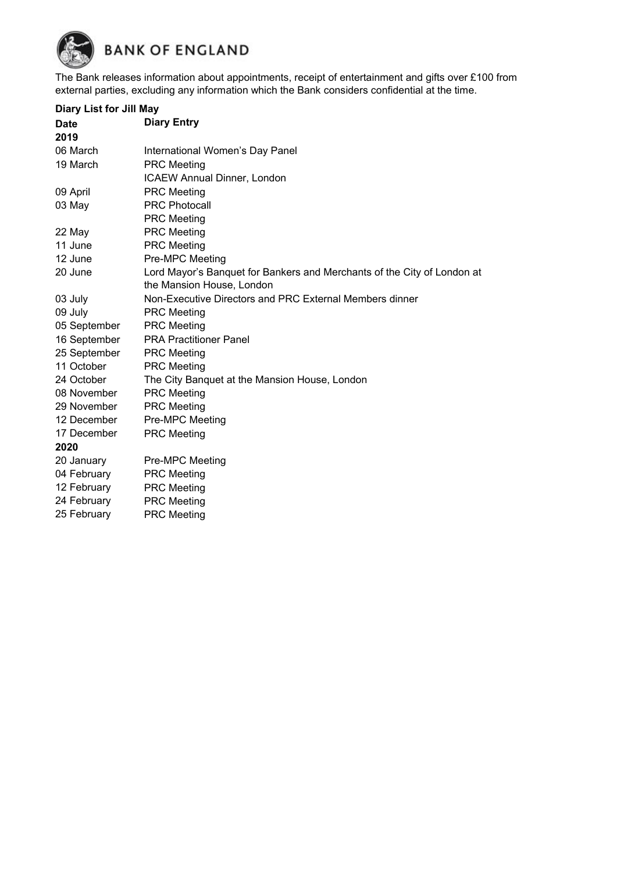

The Bank releases information about appointments, receipt of entertainment and gifts over £100 from external parties, excluding any information which the Bank considers confidential at the time.

## **Diary List for Jill May**

| <b>Date</b>  | <b>Diary Entry</b>                                                      |  |
|--------------|-------------------------------------------------------------------------|--|
| 2019         |                                                                         |  |
| 06 March     | International Women's Day Panel                                         |  |
| 19 March     | <b>PRC</b> Meeting                                                      |  |
|              | <b>ICAEW Annual Dinner, London</b>                                      |  |
| 09 April     | <b>PRC</b> Meeting                                                      |  |
| 03 May       | <b>PRC Photocall</b>                                                    |  |
|              | <b>PRC</b> Meeting                                                      |  |
| 22 May       | <b>PRC Meeting</b>                                                      |  |
| 11 June      | <b>PRC Meeting</b>                                                      |  |
| 12 June      | <b>Pre-MPC Meeting</b>                                                  |  |
| 20 June      | Lord Mayor's Banquet for Bankers and Merchants of the City of London at |  |
|              | the Mansion House, London                                               |  |
| 03 July      | Non-Executive Directors and PRC External Members dinner                 |  |
| 09 July      | <b>PRC Meeting</b>                                                      |  |
| 05 September | <b>PRC</b> Meeting                                                      |  |
| 16 September | <b>PRA Practitioner Panel</b>                                           |  |
| 25 September | <b>PRC</b> Meeting                                                      |  |
| 11 October   | <b>PRC Meeting</b>                                                      |  |
| 24 October   | The City Banquet at the Mansion House, London                           |  |
| 08 November  | <b>PRC</b> Meeting                                                      |  |
| 29 November  | <b>PRC</b> Meeting                                                      |  |
| 12 December  | Pre-MPC Meeting                                                         |  |
| 17 December  | <b>PRC Meeting</b>                                                      |  |
| 2020         |                                                                         |  |
| 20 January   | Pre-MPC Meeting                                                         |  |
| 04 February  | <b>PRC</b> Meeting                                                      |  |
| 12 February  | <b>PRC Meeting</b>                                                      |  |
| 24 February  | <b>PRC</b> Meeting                                                      |  |
| 25 February  | <b>PRC Meeting</b>                                                      |  |
|              |                                                                         |  |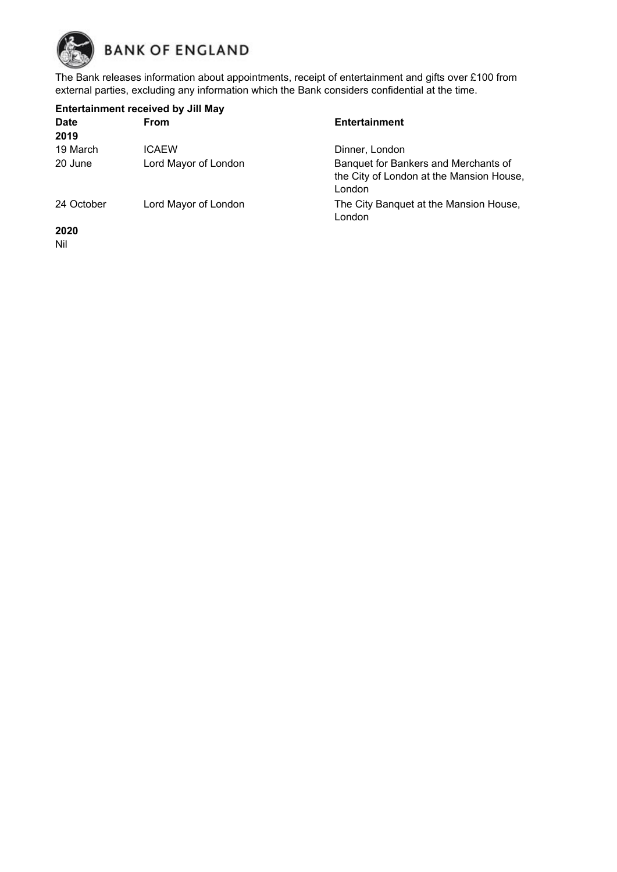

The Bank releases information about appointments, receipt of entertainment and gifts over £100 from external parties, excluding any information which the Bank considers confidential at the time.

| <b>Entertainment received by Jill May</b> |                      |                                                                                            |  |
|-------------------------------------------|----------------------|--------------------------------------------------------------------------------------------|--|
| <b>Date</b>                               | <b>From</b>          | <b>Entertainment</b>                                                                       |  |
| 2019                                      |                      |                                                                                            |  |
| 19 March                                  | <b>ICAEW</b>         | Dinner, London                                                                             |  |
| 20 June                                   | Lord Mayor of London | Banquet for Bankers and Merchants of<br>the City of London at the Mansion House,<br>London |  |
| 24 October                                | Lord Mayor of London | The City Banquet at the Mansion House,<br>London                                           |  |
| 2020                                      |                      |                                                                                            |  |

Nil